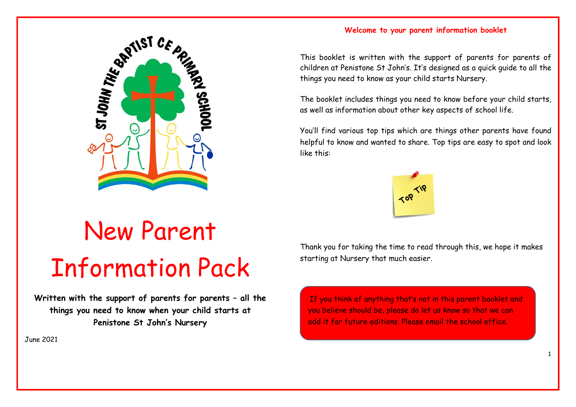

# New Parent Information Pack

Written with the support of parents for parents – all the things you need to know when your child starts at Penistone St John's Nursery

June 2021

# Welcome to your parent information booklet

This booklet is written with the support of parents for parents of children at Penistone St John's. It's designed as a quick guide to all the things you need to know as your child starts Nursery.

The booklet includes things you need to know before your child starts, as well as information about other key aspects of school life.

You'll find various top tips which are things other parents have found helpful to know and wanted to share. Top tips are easy to spot and look like this:



Thank you for taking the time to read through this, we hope it makes starting at Nursery that much easier.

Contents add it for future editions. Please email the school office.If you think of anything that's not in this parent booklet and you believe should be, please do let us know so that we can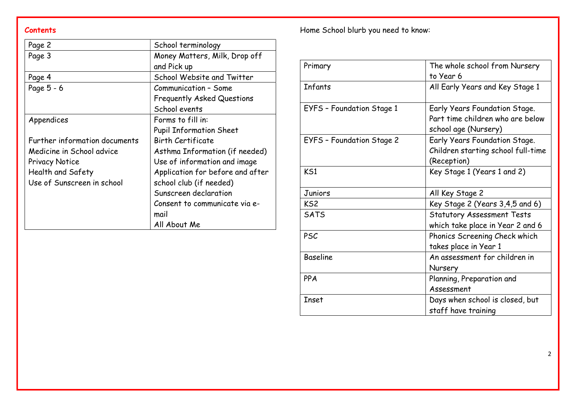| Page 2                        | School terminology               |
|-------------------------------|----------------------------------|
| Page 3                        | Money Matters, Milk, Drop off    |
|                               | and Pick up                      |
| Page 4                        | School Website and Twitter       |
| Page 5 - 6                    | Communication - Some             |
|                               | Frequently Asked Questions       |
|                               | School events                    |
| Appendices                    | Forms to fill in:                |
|                               | <b>Pupil Information Sheet</b>   |
| Further information documents | <b>Birth Certificate</b>         |
| Medicine in School advice     | Asthma Information (if needed)   |
| <b>Privacy Notice</b>         | Use of information and image     |
| Health and Safety             | Application for before and after |
| Use of Sunscreen in school    | school club (if needed)          |
|                               | Sunscreen declaration            |
|                               | Consent to communicate via e-    |
|                               | mail                             |
|                               | All About Me                     |

Contents **Contents Contents Exercise Exercise 2 Home School blurb** you need to know:

| Primary                   | The whole school from Nursery                                                             |
|---------------------------|-------------------------------------------------------------------------------------------|
| Infants                   | to Year 6<br>All Early Years and Key Stage 1                                              |
| EYFS - Foundation Stage 1 | Early Years Foundation Stage.<br>Part time children who are below<br>school age (Nursery) |
| EYFS - Foundation Stage 2 | Early Years Foundation Stage.<br>Children starting school full-time<br>(Reception)        |
| KS1                       | Key Stage 1 (Years 1 and 2)                                                               |
|                           |                                                                                           |
| Juniors                   | All Key Stage 2                                                                           |
| KS <sub>2</sub>           | Key Stage 2 (Years 3,4,5 and 6)                                                           |
| <b>SATS</b>               | <b>Statutory Assessment Tests</b>                                                         |
| <b>PSC</b>                | which take place in Year 2 and 6<br>Phonics Screening Check which                         |
| <b>Baseline</b>           | takes place in Year 1<br>An assessment for children in<br>Nursery                         |
| PPA                       | Planning, Preparation and<br>Assessment                                                   |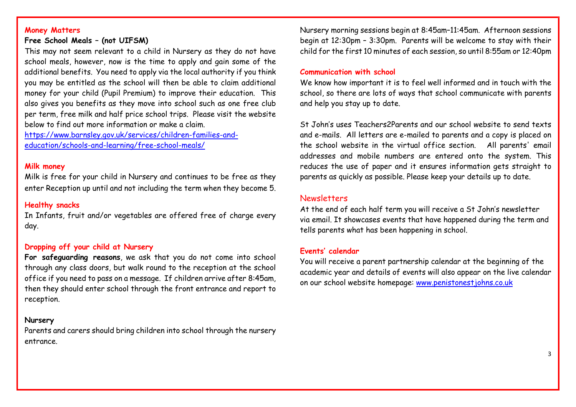#### Money Matters

### Free School Meals – (not UIFSM)

This may not seem relevant to a child in Nursery as they do not have school meals, however, now is the time to apply and gain some of the additional benefits. You need to apply via the local authority if you think you may be entitled as the school will then be able to claim additional money for your child (Pupil Premium) to improve their education. This also gives you benefits as they move into school such as one free club per term, free milk and half price school trips. Please visit the website below to find out more information or make a claim.

https://www.barnsley.gov.uk/services/children-families-andeducation/schools-and-learning/free-school-meals/

#### Milk money

Milk is free for your child in Nursery and continues to be free as they enter Reception up until and not including the term when they become 5.

#### Healthy snacks

In Infants, fruit and/or vegetables are offered free of charge every day.

#### Dropping off your child at Nursery

For safeguarding reasons, we ask that you do not come into school through any class doors, but walk round to the reception at the school office if you need to pass on a message. If children arrive after 8:45am, then they should enter school through the front entrance and report to reception.

#### Nursery

Parents and carers should bring children into school through the nursery entrance.

Nursery morning sessions begin at 8:45am–11:45am. Afternoon sessions begin at 12:30pm – 3:30pm. Parents will be welcome to stay with their child for the first 10 minutes of each session, so until 8:55am or 12:40pm

#### Communication with school

We know how important it is to feel well informed and in touch with the school, so there are lots of ways that school communicate with parents and help you stay up to date.

St John's uses Teachers2Parents and our school website to send texts and e-mails. All letters are e-mailed to parents and a copy is placed on the school website in the virtual office section. All parents' email addresses and mobile numbers are entered onto the system. This reduces the use of paper and it ensures information gets straight to parents as quickly as possible. Please keep your details up to date.

# Newsletters

At the end of each half term you will receive a St John's newsletter via email. It showcases events that have happened during the term and tells parents what has been happening in school.

#### Events' calendar

You will receive a parent partnership calendar at the beginning of the academic year and details of events will also appear on the live calendar on our school website homepage: www.penistonestjohns.co.uk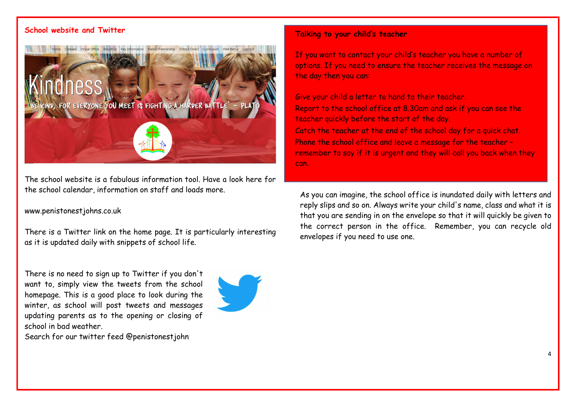# School website and Twitter



The school website is a fabulous information tool. Have a look here for the school calendar, information on staff and loads more.

#### www.penistonestjohns.co.uk

There is a Twitter link on the home page. It is particularly interesting as it is updated daily with snippets of school life.

There is no need to sign up to Twitter if you don't want to, simply view the tweets from the school homepage. This is a good place to look during the winter, as school will post tweets and messages updating parents as to the opening or closing of school in bad weather.

Search for our twitter feed @penistonestjohn



#### Talking to your child's teacher

If you want to contact your child's teacher you have a number of options. If you need to ensure the teacher receives the message on the day then you can:

Give your child a letter to hand to their teacher. Report to the school office at 8.30am and ask if you can see the teacher quickly before the start of the day. Catch the teacher at the end of the school day for a quick chat. Phone the school office and leave a message for the teacher – remember to say if it is urgent and they will call you back when they can.

As you can imagine, the school office is inundated daily with letters and reply slips and so on. Always write your child's name, class and what it is that you are sending in on the envelope so that it will quickly be given to the correct person in the office. Remember, you can recycle old envelopes if you need to use one.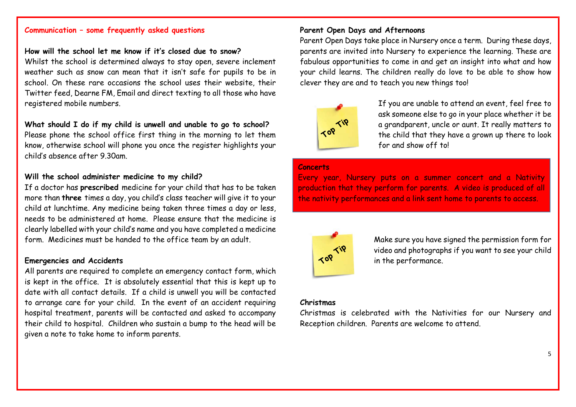# Communication – some frequently asked questions

#### How will the school let me know if it's closed due to snow?

Whilst the school is determined always to stay open, severe inclement weather such as snow can mean that it isn't safe for pupils to be in school. On these rare occasions the school uses their website, their Twitter feed, Dearne FM, Email and direct texting to all those who have registered mobile numbers.

### What should I do if my child is unwell and unable to go to school?

Please phone the school office first thing in the morning to let them know, otherwise school will phone you once the register highlights your child's absence after 9.30am.

#### Will the school administer medicine to my child?

If a doctor has prescribed medicine for your child that has to be taken more than three times a day, you child's class teacher will give it to your child at lunchtime. Any medicine being taken three times a day or less, needs to be administered at home. Please ensure that the medicine is clearly labelled with your child's name and you have completed a medicine form. Medicines must be handed to the office team by an adult.

#### Emergencies and Accidents

All parents are required to complete an emergency contact form, which is kept in the office. It is absolutely essential that this is kept up to date with all contact details. If a child is unwell you will be contacted to arrange care for your child. In the event of an accident requiring hospital treatment, parents will be contacted and asked to accompany their child to hospital. Children who sustain a bump to the head will be given a note to take home to inform parents.

### Parent Open Days and Afternoons

Parent Open Days take place in Nursery once a term. During these days, parents are invited into Nursery to experience the learning. These are fabulous opportunities to come in and get an insight into what and how your child learns. The children really do love to be able to show how clever they are and to teach you new things too!



If you are unable to attend an event, feel free to ask someone else to go in your place whether it be a grandparent, uncle or aunt. It really matters to the child that they have a grown up there to look for and show off to!

#### **Concerts**

Every year, Nursery puts on a summer concert and a Nativity production that they perform for parents. A video is produced of all the nativity performances and a link sent home to parents to access.



Make sure you have signed the permission form for video and photographs if you want to see your child in the performance.

#### Christmas

Christmas is celebrated with the Nativities for our Nursery and Reception children. Parents are welcome to attend.